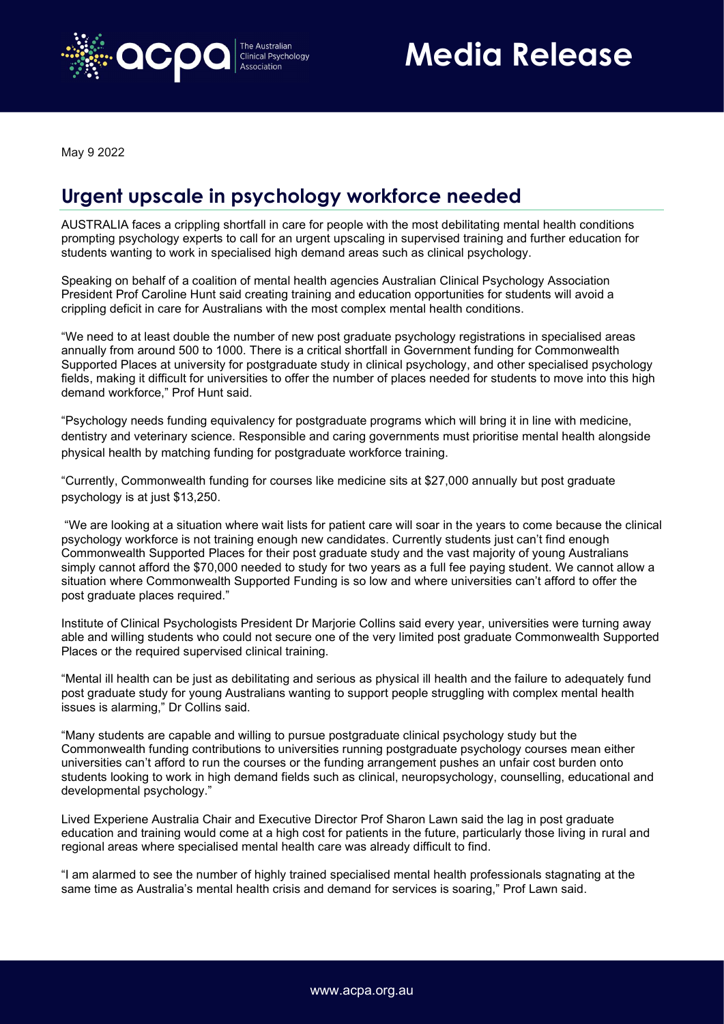

Media Release

May 9 2022

## Urgent upscale in psychology workforce needed

AUSTRALIA faces a crippling shortfall in care for people with the most debilitating mental health conditions prompting psychology experts to call for an urgent upscaling in supervised training and further education for students wanting to work in specialised high demand areas such as clinical psychology.

Speaking on behalf of a coalition of mental health agencies Australian Clinical Psychology Association President Prof Caroline Hunt said creating training and education opportunities for students will avoid a crippling deficit in care for Australians with the most complex mental health conditions.

"We need to at least double the number of new post graduate psychology registrations in specialised areas annually from around 500 to 1000. There is a critical shortfall in Government funding for Commonwealth Supported Places at university for postgraduate study in clinical psychology, and other specialised psychology fields, making it difficult for universities to offer the number of places needed for students to move into this high demand workforce," Prof Hunt said.

"Psychology needs funding equivalency for postgraduate programs which will bring it in line with medicine, dentistry and veterinary science. Responsible and caring governments must prioritise mental health alongside physical health by matching funding for postgraduate workforce training.

"Currently, Commonwealth funding for courses like medicine sits at \$27,000 annually but post graduate psychology is at just \$13,250.

 "We are looking at a situation where wait lists for patient care will soar in the years to come because the clinical psychology workforce is not training enough new candidates. Currently students just can't find enough Commonwealth Supported Places for their post graduate study and the vast majority of young Australians simply cannot afford the \$70,000 needed to study for two years as a full fee paying student. We cannot allow a situation where Commonwealth Supported Funding is so low and where universities can't afford to offer the post graduate places required."

Institute of Clinical Psychologists President Dr Marjorie Collins said every year, universities were turning away able and willing students who could not secure one of the very limited post graduate Commonwealth Supported Places or the required supervised clinical training.

"Mental ill health can be just as debilitating and serious as physical ill health and the failure to adequately fund post graduate study for young Australians wanting to support people struggling with complex mental health issues is alarming," Dr Collins said.

"Many students are capable and willing to pursue postgraduate clinical psychology study but the Commonwealth funding contributions to universities running postgraduate psychology courses mean either universities can't afford to run the courses or the funding arrangement pushes an unfair cost burden onto students looking to work in high demand fields such as clinical, neuropsychology, counselling, educational and developmental psychology."

Lived Experiene Australia Chair and Executive Director Prof Sharon Lawn said the lag in post graduate education and training would come at a high cost for patients in the future, particularly those living in rural and regional areas where specialised mental health care was already difficult to find.

"I am alarmed to see the number of highly trained specialised mental health professionals stagnating at the same time as Australia's mental health crisis and demand for services is soaring," Prof Lawn said.